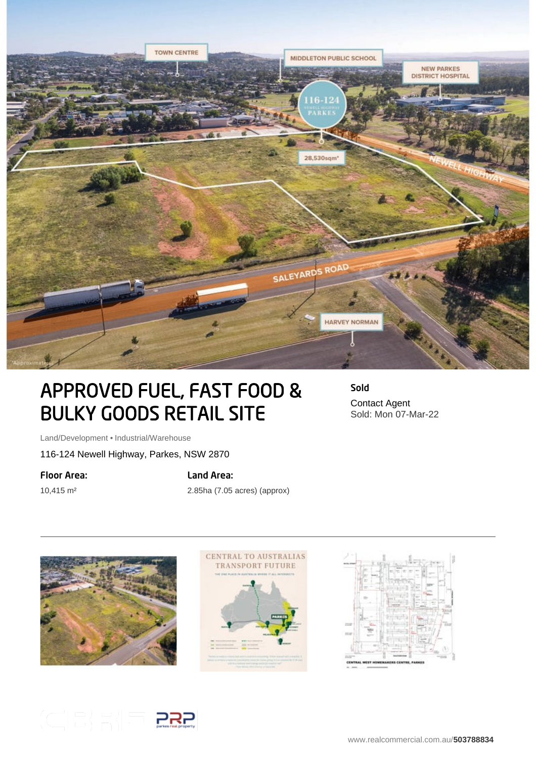

# APPROVED FUEL, FAST FOOD & BULKY GOODS RETAIL SITE

Land/Development • Industrial/Warehouse

116-124 Newell Highway, Parkes, NSW 2870

#### Floor Area:

10,415 m²

### Land Area:

2.85ha (7.05 acres) (approx)





Sold Contact Agent Sold: Mon 07-Mar-22